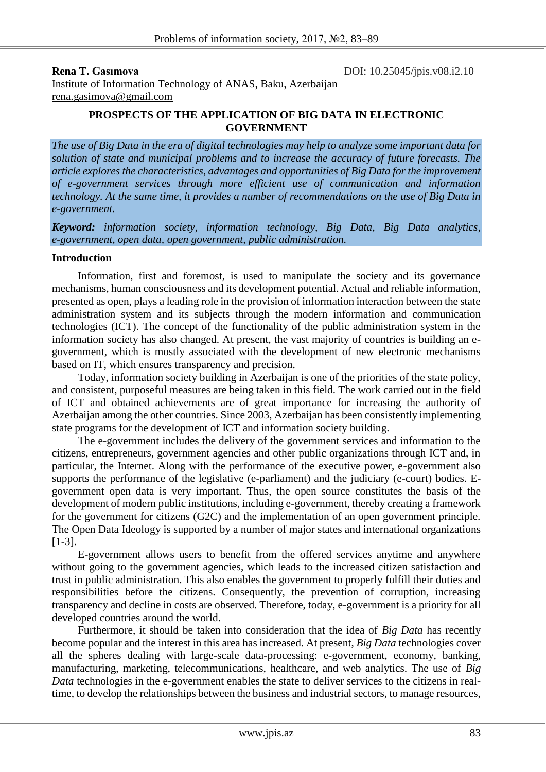**Rena T. Gasimova** DOI: 10.25045/jpis.v08.i2.10

Institute of Information Technology of ANAS, Baku, Azerbaijan rena.gasimova@gmail.com

## **PROSPECTS OF THE APPLICATION OF BIG DATA IN ELECTRONIC GOVERNMENT**

*The use of Big Data in the era of digital technologies may help to analyze some important data for solution of state and municipal problems and to increase the accuracy of future forecasts. The article explores the characteristics, advantages and opportunities of Big Data for the improvement of e-government services through more efficient use of communication and information technology. At the same time, it provides a number of recommendations on the use of Big Data in e-government.*

*Keyword: information society, information technology, Big Data, Big Data analytics, e-government, open data, open government, public administration.*

## **Introduction**

Information, first and foremost, is used to manipulate the society and its governance mechanisms, human consciousness and its development potential. Actual and reliable information, presented as open, plays a leading role in the provision of information interaction between the state administration system and its subjects through the modern information and communication technologies (ICT). The concept of the functionality of the public administration system in the information society has also changed. At present, the vast majority of countries is building an egovernment, which is mostly associated with the development of new electronic mechanisms based on IT, which ensures transparency and precision.

Today, information society building in Azerbaijan is one of the priorities of the state policy, and consistent, purposeful measures are being taken in this field. The work carried out in the field of ICT and obtained achievements are of great importance for increasing the authority of Azerbaijan among the other countries. Since 2003, Azerbaijan has been consistently implementing state programs for the development of ICT and information society building.

The e-government includes the delivery of the government services and information to the citizens, entrepreneurs, government agencies and other public organizations through ICT and, in particular, the Internet. Along with the performance of the executive power, e-government also supports the performance of the legislative (e-parliament) and the judiciary (e-court) bodies. Egovernment open data is very important. Thus, the open source constitutes the basis of the development of modern public institutions, including e-government, thereby creating a framework for the government for citizens (G2C) and the implementation of an open government principle. The Open Data Ideology is supported by a number of major states and international organizations [1-3].

E-government allows users to benefit from the offered services anytime and anywhere without going to the government agencies, which leads to the increased citizen satisfaction and trust in public administration. This also enables the government to properly fulfill their duties and responsibilities before the citizens. Consequently, the prevention of corruption, increasing transparency and decline in costs are observed. Therefore, today, e-government is a priority for all developed countries around the world.

Furthermore, it should be taken into consideration that the idea of *Big Data* has recently become popular and the interest in this area has increased. At present, *Big Data* technologies cover all the spheres dealing with large-scale data-processing: e-government, economy, banking, manufacturing, marketing, telecommunications, healthcare, and web analytics. The use of *Big Data* technologies in the e-government enables the state to deliver services to the citizens in realtime, to develop the relationships between the business and industrial sectors, to manage resources,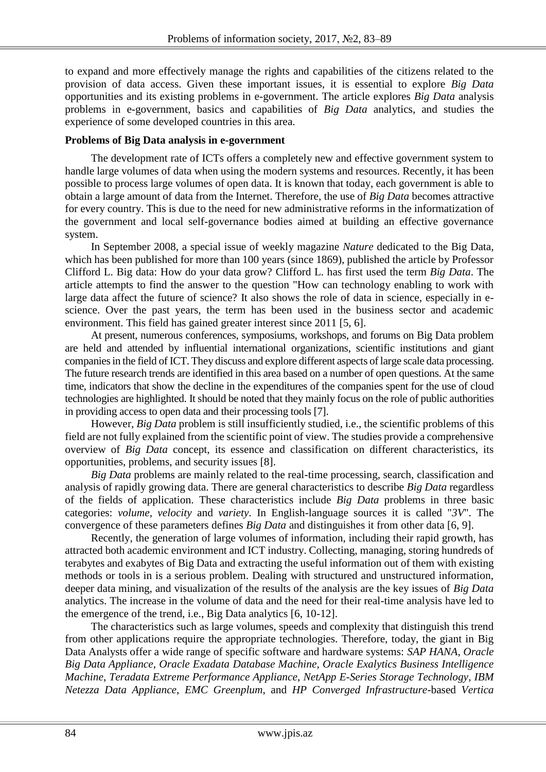to expand and more effectively manage the rights and capabilities of the citizens related to the provision of data access. Given these important issues, it is essential to explore *Big Data* opportunities and its existing problems in e-government. The article explores *Big Data* analysis problems in e-government, basics and capabilities of *Big Data* analytics, and studies the experience of some developed countries in this area.

# **Problems of Big Data analysis in e-government**

The development rate of ICTs offers a completely new and effective government system to handle large volumes of data when using the modern systems and resources. Recently, it has been possible to process large volumes of open data. It is known that today, each government is able to obtain a large amount of data from the Internet. Therefore, the use of *Big Data* becomes attractive for every country. This is due to the need for new administrative reforms in the informatization of the government and local self-governance bodies aimed at building an effective governance system.

In September 2008, a special issue of weekly magazine *Nature* dedicated to the Big Data, which has been published for more than 100 years (since 1869), published the article by Professor Clifford L. Big data: How do your data grow? Clifford L. has first used the term *Big Data*. The article attempts to find the answer to the question "How can technology enabling to work with large data affect the future of science? It also shows the role of data in science, especially in escience. Over the past years, the term has been used in the business sector and academic environment. This field has gained greater interest since 2011 [5, 6].

At present, numerous conferences, symposiums, workshops, and forums on Big Data problem are held and attended by influential international organizations, scientific institutions and giant companies in the field of ICT. They discuss and explore different aspects of large scale data processing. The future research trends are identified in this area based on a number of open questions. At the same time, indicators that show the decline in the expenditures of the companies spent for the use of cloud technologies are highlighted. It should be noted that they mainly focus on the role of public authorities in providing access to open data and their processing tools [7].

However, *Big Data* problem is still insufficiently studied, i.e., the scientific problems of this field are not fully explained from the scientific point of view. The studies provide a comprehensive overview of *Big Data* concept, its essence and classification on different characteristics, its opportunities, problems, and security issues [8].

*Big Data* problems are mainly related to the real-time processing, search, classification and analysis of rapidly growing data. There are general characteristics to describe *Big Data* regardless of the fields of application. These characteristics include *Big Data* problems in three basic categories: *volume, velocity* and *variety*. In English-language sources it is called "*3V*". The convergence of these parameters defines *Big Data* and distinguishes it from other data [6, 9].

Recently, the generation of large volumes of information, including their rapid growth, has attracted both academic environment and ICT industry. Collecting, managing, storing hundreds of terabytes and exabytes of Big Data and extracting the useful information out of them with existing methods or tools in is a serious problem. Dealing with structured and unstructured information, deeper data mining, and visualization of the results of the analysis are the key issues of *Big Data* analytics. The increase in the volume of data and the need for their real-time analysis have led to the emergence of the trend, i.e., Big Data analytics [6, 10-12].

The characteristics such as large volumes, speeds and complexity that distinguish this trend from other applications require the appropriate technologies. Therefore, today, the giant in Big Data Analysts offer a wide range of specific software and hardware systems: *SAP HANA*, *Oracle Big Data Appliance*, *Oracle Exadata Database Machine*, *Oracle Exalytics Business Intelligence Machine*, *Teradata Extreme Performance Appliance*, *NetApp E-Series Storage Technology*, *IBM Netezza Data Appliance*, *EMC Greenplum*, and *HP Converged Infrastructure-*based *Vertica*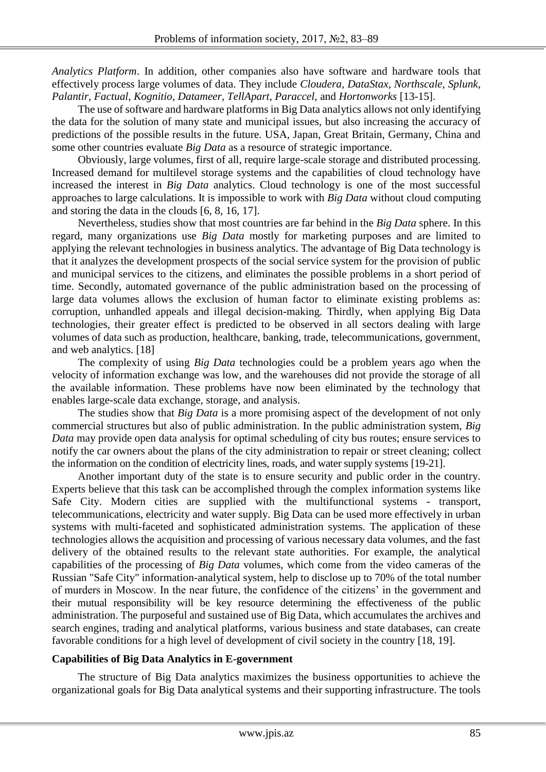*Analytics Platform*. In addition, other companies also have software and hardware tools that effectively process large volumes of data. They include *Cloudera, DataStax, Northscale, Splunk, Palantir, Factual, Kognitio, Datameer, TellApart, Paraccel,* and *Hortonworks* [13-15].

The use of software and hardware platforms in Big Data analytics allows not only identifying the data for the solution of many state and municipal issues, but also increasing the accuracy of predictions of the possible results in the future. USA, Japan, Great Britain, Germany, China and some other countries evaluate *Big Data* as a resource of strategic importance.

Obviously, large volumes, first of all, require large-scale storage and distributed processing. Increased demand for multilevel storage systems and the capabilities of cloud technology have increased the interest in *Big Data* analytics. Cloud technology is one of the most successful approaches to large calculations. It is impossible to work with *Big Data* without cloud computing and storing the data in the clouds [6, 8, 16, 17].

Nevertheless, studies show that most countries are far behind in the *Big Data* sphere. In this regard, many organizations use *Big Data* mostly for marketing purposes and are limited to applying the relevant technologies in business analytics. The advantage of Big Data technology is that it analyzes the development prospects of the social service system for the provision of public and municipal services to the citizens, and eliminates the possible problems in a short period of time. Secondly, automated governance of the public administration based on the processing of large data volumes allows the exclusion of human factor to eliminate existing problems as: corruption, unhandled appeals and illegal decision-making. Thirdly, when applying Big Data technologies, their greater effect is predicted to be observed in all sectors dealing with large volumes of data such as production, healthcare, banking, trade, telecommunications, government, and web analytics. [18]

The complexity of using *Big Data* technologies could be a problem years ago when the velocity of information exchange was low, and the warehouses did not provide the storage of all the available information. These problems have now been eliminated by the technology that enables large-scale data exchange, storage, and analysis.

The studies show that *Big Data* is a more promising aspect of the development of not only commercial structures but also of public administration. In the public administration system, *Big Data* may provide open data analysis for optimal scheduling of city bus routes; ensure services to notify the car owners about the plans of the city administration to repair or street cleaning; collect the information on the condition of electricity lines, roads, and water supply systems [19-21].

Another important duty of the state is to ensure security and public order in the country. Experts believe that this task can be accomplished through the complex information systems like Safe City. Modern cities are supplied with the multifunctional systems - transport, telecommunications, electricity and water supply. Big Data can be used more effectively in urban systems with multi-faceted and sophisticated administration systems. The application of these technologies allows the acquisition and processing of various necessary data volumes, and the fast delivery of the obtained results to the relevant state authorities. For example, the analytical capabilities of the processing of *Big Data* volumes, which come from the video cameras of the Russian "Safe City" information-analytical system, help to disclose up to 70% of the total number of murders in Moscow. In the near future, the confidence of the citizens' in the government and their mutual responsibility will be key resource determining the effectiveness of the public administration. The purposeful and sustained use of Big Data, which accumulates the archives and search engines, trading and analytical platforms, various business and state databases, can create favorable conditions for a high level of development of civil society in the country [18, 19].

#### **Capabilities of Big Data Analytics in E-government**

The structure of Big Data analytics maximizes the business opportunities to achieve the organizational goals for Big Data analytical systems and their supporting infrastructure. The tools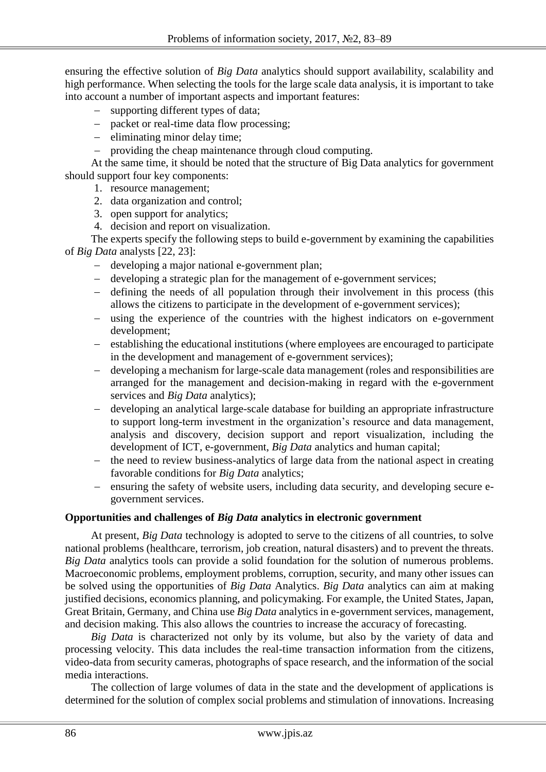ensuring the effective solution of *Big Data* analytics should support availability, scalability and high performance. When selecting the tools for the large scale data analysis, it is important to take into account a number of important aspects and important features:

- supporting different types of data;
- packet or real-time data flow processing;
- $\hbox{=}$  eliminating minor delay time;
- providing the cheap maintenance through cloud computing.

At the same time, it should be noted that the structure of Big Data analytics for government should support four key components:

- 1. resource management;
- 2. data organization and control;
- 3. open support for analytics;
- 4. decision and report on visualization.

The experts specify the following steps to build e-government by examining the capabilities of *Big Data* analysts [22, 23]:

- developing a major national e-government plan;
- developing a strategic plan for the management of e-government services;
- defining the needs of all population through their involvement in this process (this allows the citizens to participate in the development of e-government services);
- using the experience of the countries with the highest indicators on e-government development;
- establishing the educational institutions (where employees are encouraged to participate in the development and management of e-government services);
- developing a mechanism for large-scale data management (roles and responsibilities are arranged for the management and decision-making in regard with the e-government services and *Big Data* analytics);
- developing an analytical large-scale database for building an appropriate infrastructure to support long-term investment in the organization's resource and data management, analysis and discovery, decision support and report visualization, including the development of ICT, e-government, *Big Data* analytics and human capital;
- the need to review business-analytics of large data from the national aspect in creating favorable conditions for *Big Data* analytics;
- ensuring the safety of website users, including data security, and developing secure egovernment services.

#### **Opportunities and challenges of** *Big Data* **analytics in electronic government**

At present, *Big Data* technology is adopted to serve to the citizens of all countries, to solve national problems (healthcare, terrorism, job creation, natural disasters) and to prevent the threats. *Big Data* analytics tools can provide a solid foundation for the solution of numerous problems. Macroeconomic problems, employment problems, corruption, security, and many other issues can be solved using the opportunities of *Big Data* Analytics. *Big Data* analytics can aim at making justified decisions, economics planning, and policymaking. For example, the United States, Japan, Great Britain, Germany, and China use *Big Data* analytics in e-government services, management, and decision making. This also allows the countries to increase the accuracy of forecasting.

*Big Data* is characterized not only by its volume, but also by the variety of data and processing velocity. This data includes the real-time transaction information from the citizens, video-data from security cameras, photographs of space research, and the information of the social media interactions.

The collection of large volumes of data in the state and the development of applications is determined for the solution of complex social problems and stimulation of innovations. Increasing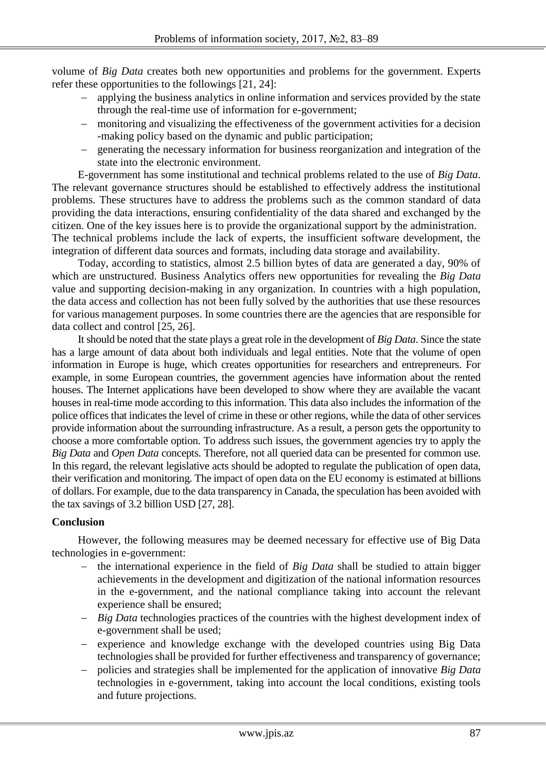volume of *Big Data* creates both new opportunities and problems for the government. Experts refer these opportunities to the followings [21, 24]:

- applying the business analytics in online information and services provided by the state through the real-time use of information for e-government;
- monitoring and visualizing the effectiveness of the government activities for a decision -making policy based on the dynamic and public participation;
- generating the necessary information for business reorganization and integration of the state into the electronic environment.

E-government has some institutional and technical problems related to the use of *Big Data*. The relevant governance structures should be established to effectively address the institutional problems. These structures have to address the problems such as the common standard of data providing the data interactions, ensuring confidentiality of the data shared and exchanged by the citizen. One of the key issues here is to provide the organizational support by the administration. The technical problems include the lack of experts, the insufficient software development, the integration of different data sources and formats, including data storage and availability.

Today, according to statistics, almost 2.5 billion bytes of data are generated a day, 90% of which are unstructured. Business Analytics offers new opportunities for revealing the *Big Data* value and supporting decision-making in any organization. In countries with a high population, the data access and collection has not been fully solved by the authorities that use these resources for various management purposes. In some countries there are the agencies that are responsible for data collect and control [25, 26].

It should be noted that the state plays a great role in the development of *Big Data*. Since the state has a large amount of data about both individuals and legal entities. Note that the volume of open information in Europe is huge, which creates opportunities for researchers and entrepreneurs. For example, in some European countries, the government agencies have information about the rented houses. The Internet applications have been developed to show where they are available the vacant houses in real-time mode according to this information. This data also includes the information of the police offices that indicates the level of crime in these or other regions, while the data of other services provide information about the surrounding infrastructure. As a result, a person gets the opportunity to choose a more comfortable option. To address such issues, the government agencies try to apply the *Big Data* and *Open Data* concepts. Therefore, not all queried data can be presented for common use. In this regard, the relevant legislative acts should be adopted to regulate the publication of open data, their verification and monitoring. The impact of open data on the EU economy is estimated at billions of dollars. For example, due to the data transparency in Canada, the speculation has been avoided with the tax savings of 3.2 billion USD [27, 28].

# **Conclusion**

However, the following measures may be deemed necessary for effective use of Big Data technologies in e-government:

- the international experience in the field of *Big Data* shall be studied to attain bigger achievements in the development and digitization of the national information resources in the e-government, and the national compliance taking into account the relevant experience shall be ensured;
- *Big Data* technologies practices of the countries with the highest development index of e-government shall be used;
- experience and knowledge exchange with the developed countries using Big Data technologies shall be provided for further effectiveness and transparency of governance;
- policies and strategies shall be implemented for the application of innovative *Big Data* technologies in e-government, taking into account the local conditions, existing tools and future projections.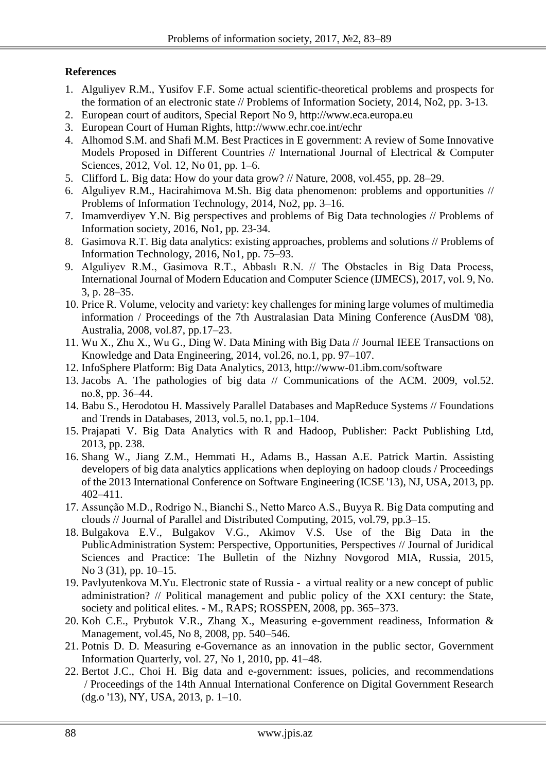# **References**

- 1. Alguliyev R.M., Yusifov F.F. Some actual scientific-theoretical problems and prospects for the formation of an electronic state // Problems of Information Society, 2014, No2, pp. 3-13.
- 2. European court of auditors, Special Report No 9, http://www.eca.europa.eu
- 3. European Court of Human Rights,<http://www.echr.coe.int/echr>
- 4. Alhomod S.M. and Shafi M.M. Best Practices in E government: A review of Some Innovative Models Proposed in Different Countries // International Journal of Electrical & Computer Sciences, 2012, Vol. 12, No 01, pp. 1–6.
- 5. Clifford L. Big data: How do your data grow? // Nature, 2008, vol.455, pp. 28–29.
- 6. Alguliyev R.M., Hacirahimova M.Sh. Big data phenomenon: problems and opportunities // Problems of Information Technology, 2014, No2, pp. 3–16.
- 7. Imamverdiyev Y.N. Big perspectives and problems of Big Data technologies // Problems of Information society, 2016, No1, pp. 23-34.
- 8. Gasimova R.T. Big data analytics: existing approaches, problems and solutions // Problems of Information Technology, 2016, No1, pp. 75–93.
- 9. Alguliyev R.M., Gasimova R.T., Abbaslı R.N. // The Obstacles in Big Data Process, International Journal of Modern Education and Computer Science (IJMECS), 2017, vol. 9, No. 3, p. 28–35.
- 10. Price R. Volume, velocity and variety: key challenges for mining large volumes of multimedia information / Proceedings of the 7th Australasian Data Mining Conference (AusDM '08), Australia, 2008, vol.87, pp.17–23.
- 11. Wu X., Zhu X., Wu G., Ding W. Data Mining with Big Data // Journal IEEE Transactions on Knowledge and Data Engineering, 2014, vol.26, no.1, pp. 97–107.
- 12. InfoSphere Platform: Big Data Analytics, 2013, http://www-01.ibm.com/software
- 13. Jacobs A. The pathologies of big data // Communications of the ACM. 2009, vol.52. no.8, рp. 36–44.
- 14. Babu S., Herodotou H. Massively Parallel Databases and MapReduce Systems // Foundations and Trends in Databases, 2013, vol.5, no.1, pp.1–104.
- 15. Prajapati V. Big Data Analytics with R and Hadoop, Publisher: Packt Publishing Ltd, 2013, pp. 238.
- 16. Shang W., Jiang Z.M., Hemmati H., Adams B., Hassan A.E. Patrick Martin. Assisting developers of big data analytics applications when deploying on hadoop clouds / Proceedings of the 2013 International Conference on Software Engineering (ICSE '13), NJ, USA, 2013, pp. 402–411.
- 17. Assunção M.D., Rodrigo N., Bianchi S., Netto Marco A.S., Buyya R. Big Data computing and clouds // Journal of Parallel and Distributed Computing, 2015, vol.79, pp.3–15.
- 18. Bulgakova E.V., Bulgakov V.G., Akimov V.S. Use of the Big Data in the PublicAdministration System: Perspective, Opportunities, Perspectives // Journal of Juridical Sciences and Practice: The Bulletin of the Nizhny Novgorod MIA, Russia, 2015, No 3 (31), pp. 10–15.
- 19. Pavlyutenkova M.Yu. Electronic state of Russia a virtual reality or a new concept of public administration? // Political management and public policy of the XXI century: the State, society and political elites. - M., RAPS; ROSSPEN, 2008, pp. 365–373.
- 20. Koh C.E., Prybutok V.R., Zhang X., Measuring e-government readiness, Information & Management, vol.45, No 8, 2008, pp. 540–546.
- 21. Potnis D. D. Measuring e-Governance as an innovation in the public sector, Government Information Quarterly, vol. 27, No 1, 2010, pp. 41–48.
- 22. Bertot J.C., Choi H. Big data and e-government: issues, policies, and recommendations / Proceedings of the 14th Annual International Conference on Digital Government Research (dg.o '13), NY, USA, 2013, p. 1–10.